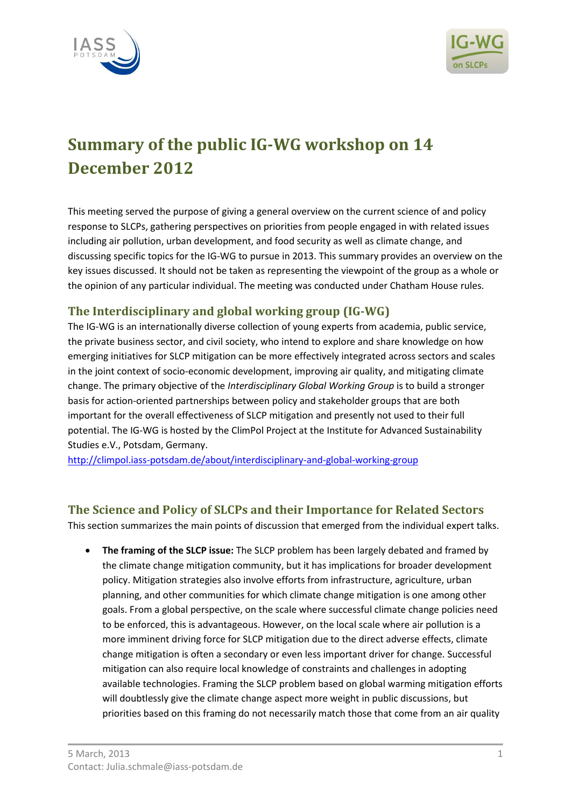



# **Summary of the public IG-WG workshop on 14 December 2012**

This meeting served the purpose of giving a general overview on the current science of and policy response to SLCPs, gathering perspectives on priorities from people engaged in with related issues including air pollution, urban development, and food security as well as climate change, and discussing specific topics for the IG-WG to pursue in 2013. This summary provides an overview on the key issues discussed. It should not be taken as representing the viewpoint of the group as a whole or the opinion of any particular individual. The meeting was conducted under Chatham House rules.

## **The Interdisciplinary and global working group (IG-WG)**

The IG-WG is an internationally diverse collection of young experts from academia, public service, the private business sector, and civil society, who intend to explore and share knowledge on how emerging initiatives for SLCP mitigation can be more effectively integrated across sectors and scales in the joint context of socio-economic development, improving air quality, and mitigating climate change. The primary objective of the *Interdisciplinary Global Working Group* is to build a stronger basis for action-oriented partnerships between policy and stakeholder groups that are both important for the overall effectiveness of SLCP mitigation and presently not used to their full potential. The IG-WG is hosted by the ClimPol Project at the Institute for Advanced Sustainability Studies e.V., Potsdam, Germany.

<http://climpol.iass-potsdam.de/about/interdisciplinary-and-global-working-group>

### **The Science and Policy of SLCPs and their Importance for Related Sectors**

This section summarizes the main points of discussion that emerged from the individual expert talks.

 **The framing of the SLCP issue:** The SLCP problem has been largely debated and framed by the climate change mitigation community, but it has implications for broader development policy. Mitigation strategies also involve efforts from infrastructure, agriculture, urban planning, and other communities for which climate change mitigation is one among other goals. From a global perspective, on the scale where successful climate change policies need to be enforced, this is advantageous. However, on the local scale where air pollution is a more imminent driving force for SLCP mitigation due to the direct adverse effects, climate change mitigation is often a secondary or even less important driver for change. Successful mitigation can also require local knowledge of constraints and challenges in adopting available technologies. Framing the SLCP problem based on global warming mitigation efforts will doubtlessly give the climate change aspect more weight in public discussions, but priorities based on this framing do not necessarily match those that come from an air quality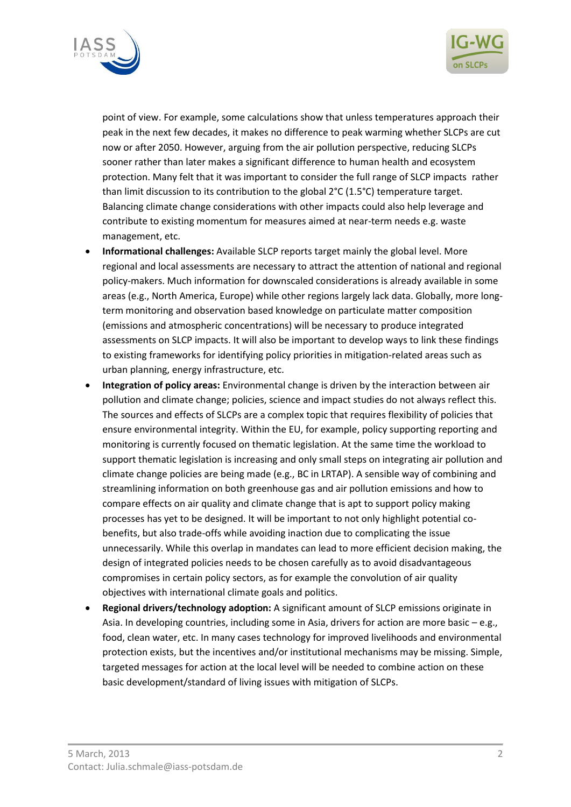



point of view. For example, some calculations show that unless temperatures approach their peak in the next few decades, it makes no difference to peak warming whether SLCPs are cut now or after 2050. However, arguing from the air pollution perspective, reducing SLCPs sooner rather than later makes a significant difference to human health and ecosystem protection. Many felt that it was important to consider the full range of SLCP impacts rather than limit discussion to its contribution to the global 2°C (1.5°C) temperature target. Balancing climate change considerations with other impacts could also help leverage and contribute to existing momentum for measures aimed at near-term needs e.g. waste management, etc.

- **Informational challenges:** Available SLCP reports target mainly the global level. More regional and local assessments are necessary to attract the attention of national and regional policy-makers. Much information for downscaled considerations is already available in some areas (e.g., North America, Europe) while other regions largely lack data. Globally, more longterm monitoring and observation based knowledge on particulate matter composition (emissions and atmospheric concentrations) will be necessary to produce integrated assessments on SLCP impacts. It will also be important to develop ways to link these findings to existing frameworks for identifying policy priorities in mitigation-related areas such as urban planning, energy infrastructure, etc.
- **Integration of policy areas:** Environmental change is driven by the interaction between air pollution and climate change; policies, science and impact studies do not always reflect this. The sources and effects of SLCPs are a complex topic that requires flexibility of policies that ensure environmental integrity. Within the EU, for example, policy supporting reporting and monitoring is currently focused on thematic legislation. At the same time the workload to support thematic legislation is increasing and only small steps on integrating air pollution and climate change policies are being made (e.g., BC in LRTAP). A sensible way of combining and streamlining information on both greenhouse gas and air pollution emissions and how to compare effects on air quality and climate change that is apt to support policy making processes has yet to be designed. It will be important to not only highlight potential cobenefits, but also trade-offs while avoiding inaction due to complicating the issue unnecessarily. While this overlap in mandates can lead to more efficient decision making, the design of integrated policies needs to be chosen carefully as to avoid disadvantageous compromises in certain policy sectors, as for example the convolution of air quality objectives with international climate goals and politics.
- **Regional drivers/technology adoption:** A significant amount of SLCP emissions originate in Asia. In developing countries, including some in Asia, drivers for action are more basic – e.g., food, clean water, etc. In many cases technology for improved livelihoods and environmental protection exists, but the incentives and/or institutional mechanisms may be missing. Simple, targeted messages for action at the local level will be needed to combine action on these basic development/standard of living issues with mitigation of SLCPs.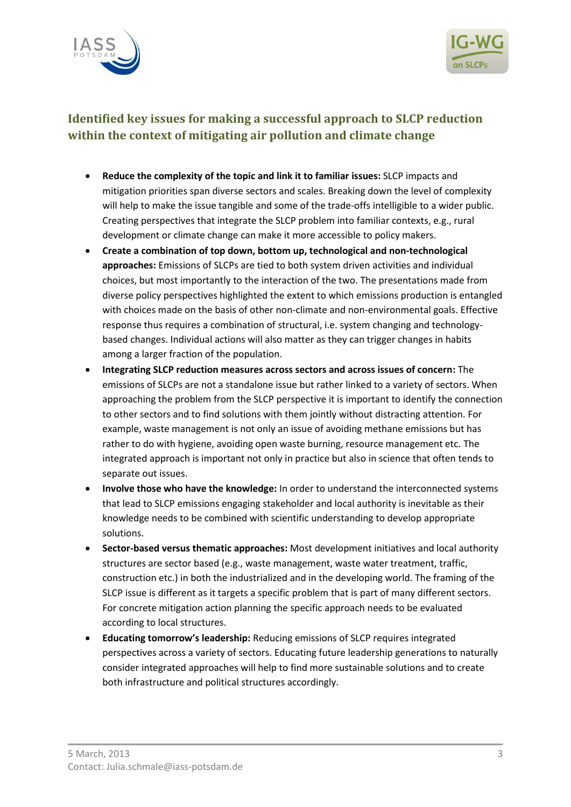



## **Identified key issues for making a successful approach to SLCP reduction within the context of mitigating air pollution and climate change**

- **Reduce the complexity of the topic and link it to familiar issues:** SLCP impacts and mitigation priorities span diverse sectors and scales. Breaking down the level of complexity will help to make the issue tangible and some of the trade-offs intelligible to a wider public. Creating perspectives that integrate the SLCP problem into familiar contexts, e.g., rural development or climate change can make it more accessible to policy makers.
- **Create a combination of top down, bottom up, technological and non-technological approaches:** Emissions of SLCPs are tied to both system driven activities and individual choices, but most importantly to the interaction of the two. The presentations made from diverse policy perspectives highlighted the extent to which emissions production is entangled with choices made on the basis of other non-climate and non-environmental goals. Effective response thus requires a combination of structural, i.e. system changing and technologybased changes. Individual actions will also matter as they can trigger changes in habits among a larger fraction of the population.
- **Integrating SLCP reduction measures across sectors and across issues of concern:** The emissions of SLCPs are not a standalone issue but rather linked to a variety of sectors. When approaching the problem from the SLCP perspective it is important to identify the connection to other sectors and to find solutions with them jointly without distracting attention. For example, waste management is not only an issue of avoiding methane emissions but has rather to do with hygiene, avoiding open waste burning, resource management etc. The integrated approach is important not only in practice but also in science that often tends to separate out issues.
- **Involve those who have the knowledge:** In order to understand the interconnected systems that lead to SLCP emissions engaging stakeholder and local authority is inevitable as their knowledge needs to be combined with scientific understanding to develop appropriate solutions.
- **Sector-based versus thematic approaches:** Most development initiatives and local authority structures are sector based (e.g., waste management, waste water treatment, traffic, construction etc.) in both the industrialized and in the developing world. The framing of the SLCP issue is different as it targets a specific problem that is part of many different sectors. For concrete mitigation action planning the specific approach needs to be evaluated according to local structures.
- **Educating tomorrow's leadership:** Reducing emissions of SLCP requires integrated perspectives across a variety of sectors. Educating future leadership generations to naturally consider integrated approaches will help to find more sustainable solutions and to create both infrastructure and political structures accordingly.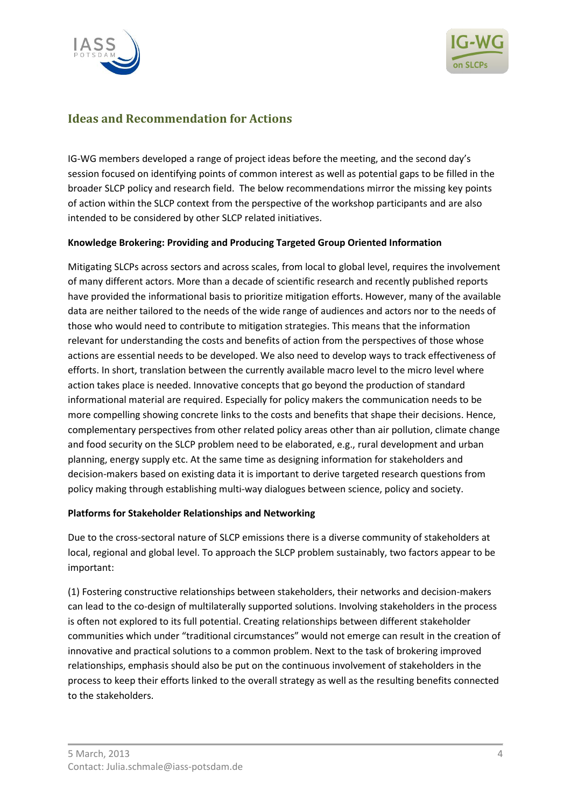



## **Ideas and Recommendation for Actions**

IG-WG members developed a range of project ideas before the meeting, and the second day's session focused on identifying points of common interest as well as potential gaps to be filled in the broader SLCP policy and research field. The below recommendations mirror the missing key points of action within the SLCP context from the perspective of the workshop participants and are also intended to be considered by other SLCP related initiatives.

#### **Knowledge Brokering: Providing and Producing Targeted Group Oriented Information**

Mitigating SLCPs across sectors and across scales, from local to global level, requires the involvement of many different actors. More than a decade of scientific research and recently published reports have provided the informational basis to prioritize mitigation efforts. However, many of the available data are neither tailored to the needs of the wide range of audiences and actors nor to the needs of those who would need to contribute to mitigation strategies. This means that the information relevant for understanding the costs and benefits of action from the perspectives of those whose actions are essential needs to be developed. We also need to develop ways to track effectiveness of efforts. In short, translation between the currently available macro level to the micro level where action takes place is needed. Innovative concepts that go beyond the production of standard informational material are required. Especially for policy makers the communication needs to be more compelling showing concrete links to the costs and benefits that shape their decisions. Hence, complementary perspectives from other related policy areas other than air pollution, climate change and food security on the SLCP problem need to be elaborated, e.g., rural development and urban planning, energy supply etc. At the same time as designing information for stakeholders and decision-makers based on existing data it is important to derive targeted research questions from policy making through establishing multi-way dialogues between science, policy and society.

#### **Platforms for Stakeholder Relationships and Networking**

Due to the cross-sectoral nature of SLCP emissions there is a diverse community of stakeholders at local, regional and global level. To approach the SLCP problem sustainably, two factors appear to be important:

(1) Fostering constructive relationships between stakeholders, their networks and decision-makers can lead to the co-design of multilaterally supported solutions. Involving stakeholders in the process is often not explored to its full potential. Creating relationships between different stakeholder communities which under "traditional circumstances" would not emerge can result in the creation of innovative and practical solutions to a common problem. Next to the task of brokering improved relationships, emphasis should also be put on the continuous involvement of stakeholders in the process to keep their efforts linked to the overall strategy as well as the resulting benefits connected to the stakeholders.